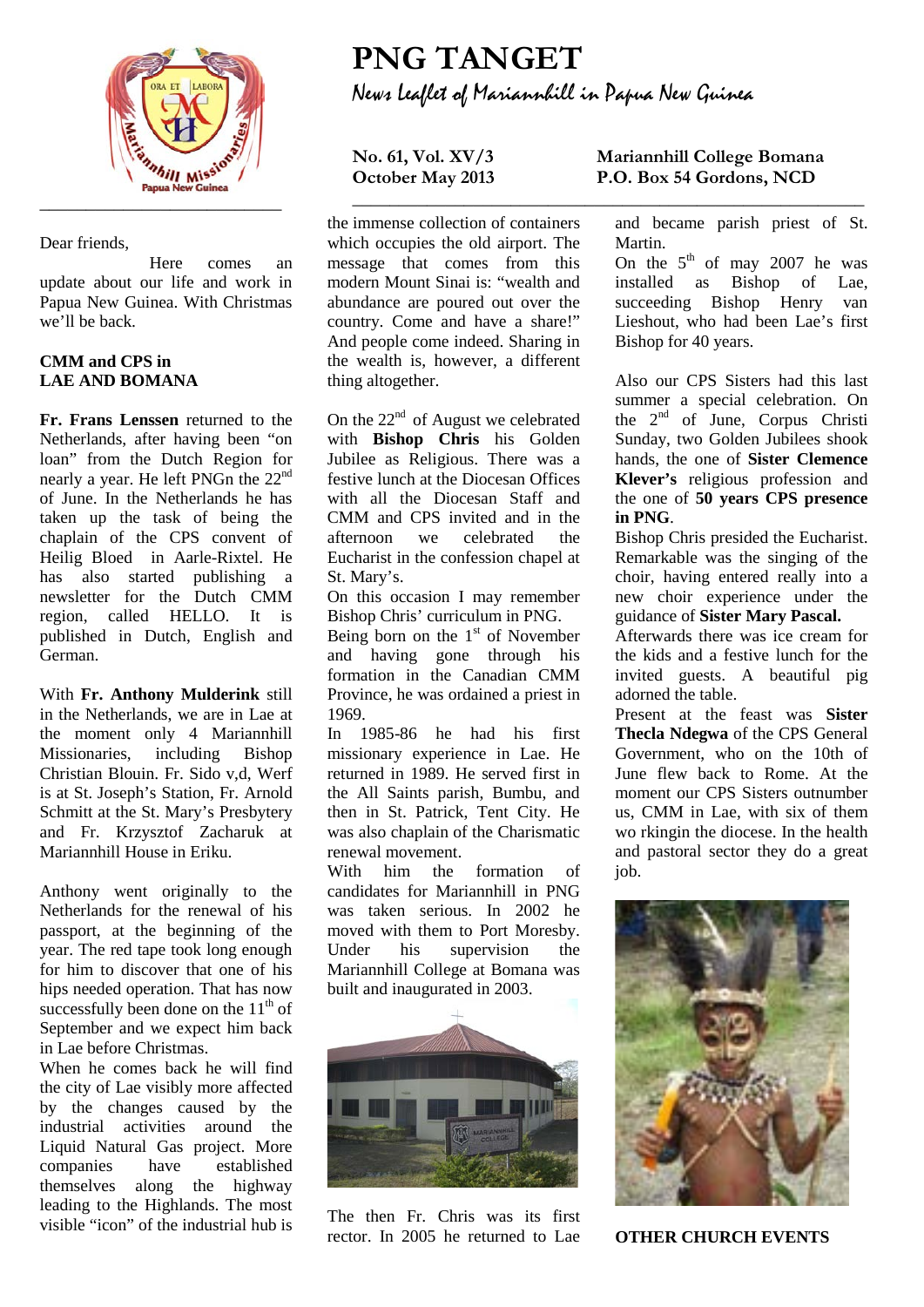

Dear friends,

Here comes an update about our life and work in Papua New Guinea. With Christmas we'll be back.

### **CMM and CPS in LAE AND BOMANA**

**Fr. Frans Lenssen** returned to the Netherlands, after having been "on loan" from the Dutch Region for nearly a year. He left PNGn the 22nd of June. In the Netherlands he has taken up the task of being the chaplain of the CPS convent of Heilig Bloed in Aarle-Rixtel. He has also started publishing a newsletter for the Dutch CMM region, called HELLO. It is published in Dutch, English and German.

With **Fr. Anthony Mulderink** still in the Netherlands, we are in Lae at the moment only 4 Mariannhill Missionaries, including Bishop Christian Blouin. Fr. Sido v,d, Werf is at St. Joseph's Station, Fr. Arnold Schmitt at the St. Mary's Presbytery and Fr. Krzysztof Zacharuk at Mariannhill House in Eriku.

Anthony went originally to the Netherlands for the renewal of his passport, at the beginning of the year. The red tape took long enough for him to discover that one of his hips needed operation. That has now successfully been done on the  $11<sup>th</sup>$  of September and we expect him back in Lae before Christmas.

When he comes back he will find the city of Lae visibly more affected by the changes caused by the industrial activities around the Liquid Natural Gas project. More companies have established themselves along the highway leading to the Highlands. The most visible "icon" of the industrial hub is

# **PNG TANGET** News Leaflet of Mariannhill in Papua New Guinea

**\_\_\_\_\_\_\_\_\_\_\_\_\_\_\_\_\_\_\_\_\_\_\_\_\_\_\_\_\_\_\_\_\_\_\_\_\_\_\_\_\_\_\_\_\_\_\_\_\_\_\_\_\_\_\_**

the immense collection of containers which occupies the old airport. The message that comes from this modern Mount Sinai is: "wealth and abundance are poured out over the country. Come and have a share!" And people come indeed. Sharing in the wealth is, however, a different thing altogether.

On the 22<sup>nd</sup> of August we celebrated with **Bishop Chris** his Golden Jubilee as Religious. There was a festive lunch at the Diocesan Offices with all the Diocesan Staff and CMM and CPS invited and in the afternoon we celebrated the Eucharist in the confession chapel at St. Mary's.

On this occasion I may remember Bishop Chris' curriculum in PNG.

Being born on the  $1<sup>st</sup>$  of November and having gone through his formation in the Canadian CMM Province, he was ordained a priest in 1969.

In 1985-86 he had his first missionary experience in Lae. He returned in 1989. He served first in the All Saints parish, Bumbu, and then in St. Patrick, Tent City. He was also chaplain of the Charismatic renewal movement.

With him the formation of candidates for Mariannhill in PNG was taken serious. In 2002 he moved with them to Port Moresby. Under his supervision the Mariannhill College at Bomana was built and inaugurated in 2003.



The then Fr. Chris was its first rector. In 2005 he returned to Lae

## **No. 61, Vol. XV/3 Mariannhill College Bomana**  P.O. Box 54 Gordons, NCD

and became parish priest of St. Martin.

On the  $5<sup>th</sup>$  of may 2007 he was installed as Bishop of Lae, succeeding Bishop Henry van Lieshout, who had been Lae's first Bishop for 40 years.

Also our CPS Sisters had this last summer a special celebration. On the 2nd of June, Corpus Christi Sunday, two Golden Jubilees shook hands, the one of **Sister Clemence Klever's** religious profession and the one of **50 years CPS presence in PNG**.

Bishop Chris presided the Eucharist. Remarkable was the singing of the choir, having entered really into a new choir experience under the guidance of **Sister Mary Pascal.**

Afterwards there was ice cream for the kids and a festive lunch for the invited guests. A beautiful pig adorned the table.

Present at the feast was **Sister Thecla Ndegwa** of the CPS General Government, who on the 10th of June flew back to Rome. At the moment our CPS Sisters outnumber us, CMM in Lae, with six of them wo rkingin the diocese. In the health and pastoral sector they do a great job.



**OTHER CHURCH EVENTS**